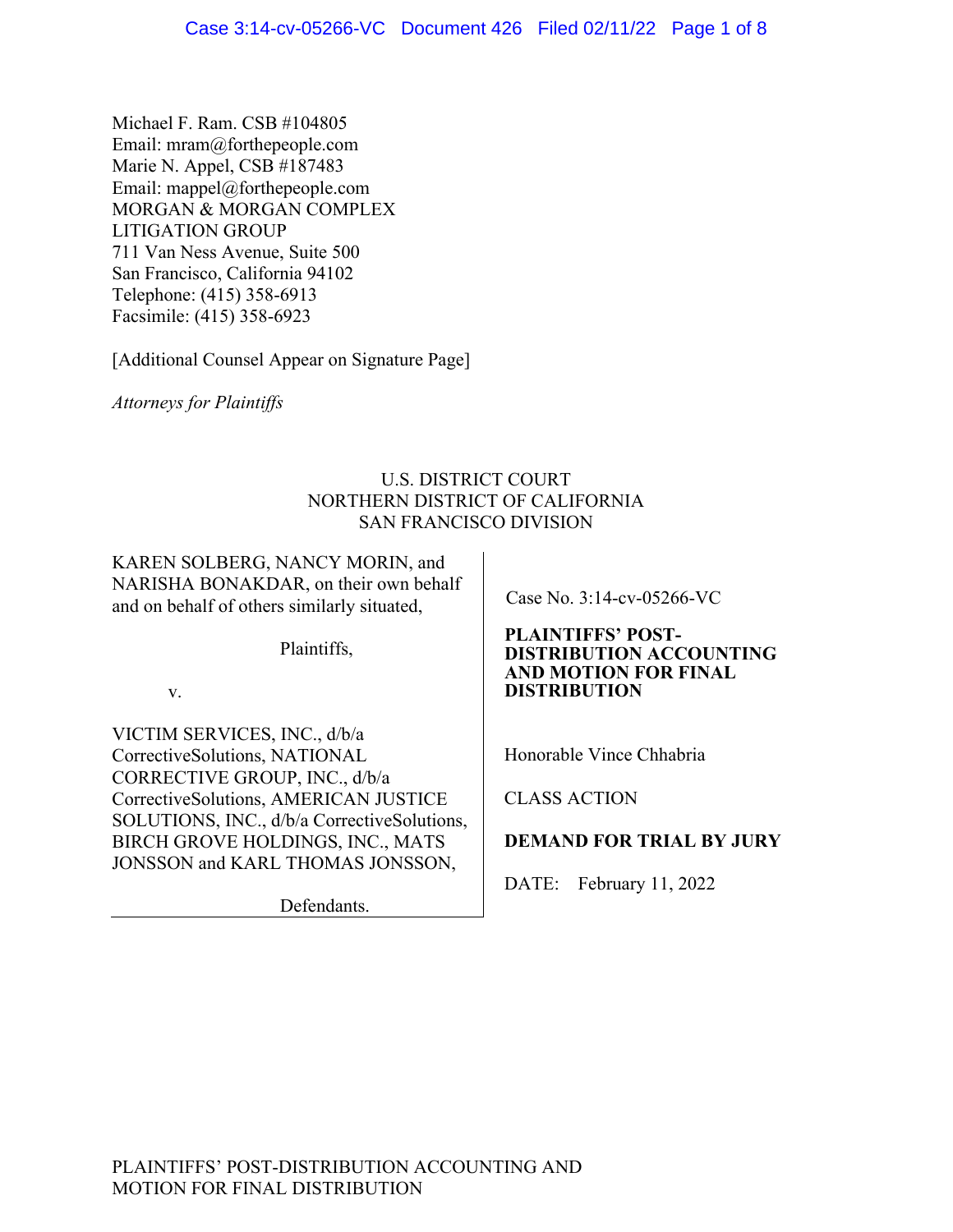Michael F. Ram. CSB #104805 Email: mram@forthepeople.com Marie N. Appel, CSB #187483 Email: mappel@forthepeople.com MORGAN & MORGAN COMPLEX LITIGATION GROUP 711 Van Ness Avenue, Suite 500 San Francisco, California 94102 Telephone: (415) 358-6913 Facsimile: (415) 358-6923

[Additional Counsel Appear on Signature Page]

*Attorneys for Plaintiffs* 

# U.S. DISTRICT COURT NORTHERN DISTRICT OF CALIFORNIA SAN FRANCISCO DIVISION

KAREN SOLBERG, NANCY MORIN, and NARISHA BONAKDAR, on their own behalf and on behalf of others similarly situated,

Plaintiffs,

v.

VICTIM SERVICES, INC., d/b/a CorrectiveSolutions, NATIONAL CORRECTIVE GROUP, INC., d/b/a CorrectiveSolutions, AMERICAN JUSTICE SOLUTIONS, INC., d/b/a CorrectiveSolutions, BIRCH GROVE HOLDINGS, INC., MATS JONSSON and KARL THOMAS JONSSON,

Defendants.

Case No. 3:14-cv-05266-VC

#### **PLAINTIFFS' POST-DISTRIBUTION ACCOUNTING AND MOTION FOR FINAL DISTRIBUTION**

Honorable Vince Chhabria

CLASS ACTION

# **DEMAND FOR TRIAL BY JURY**

DATE: February 11, 2022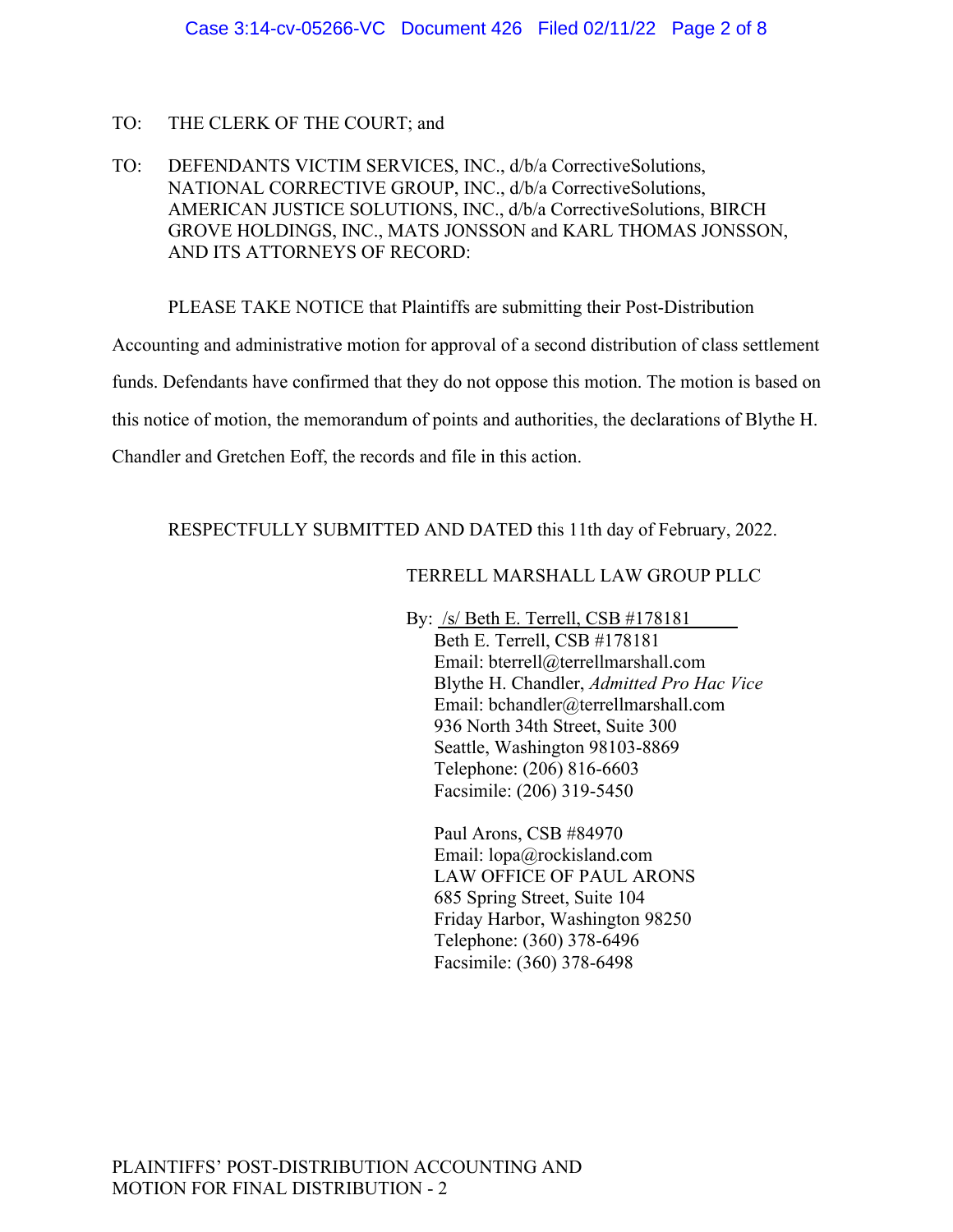# TO: THE CLERK OF THE COURT; and

TO: DEFENDANTS VICTIM SERVICES, INC., d/b/a CorrectiveSolutions, NATIONAL CORRECTIVE GROUP, INC., d/b/a CorrectiveSolutions, AMERICAN JUSTICE SOLUTIONS, INC., d/b/a CorrectiveSolutions, BIRCH GROVE HOLDINGS, INC., MATS JONSSON and KARL THOMAS JONSSON, AND ITS ATTORNEYS OF RECORD:

PLEASE TAKE NOTICE that Plaintiffs are submitting their Post-Distribution

Accounting and administrative motion for approval of a second distribution of class settlement funds. Defendants have confirmed that they do not oppose this motion. The motion is based on this notice of motion, the memorandum of points and authorities, the declarations of Blythe H. Chandler and Gretchen Eoff, the records and file in this action.

# RESPECTFULLY SUBMITTED AND DATED this 11th day of February, 2022.

# TERRELL MARSHALL LAW GROUP PLLC

By: /s/ Beth E. Terrell, CSB #178181 Beth E. Terrell, CSB #178181 Email: bterrell@terrellmarshall.com Blythe H. Chandler, *Admitted Pro Hac Vice* Email: bchandler@terrellmarshall.com 936 North 34th Street, Suite 300 Seattle, Washington 98103-8869 Telephone: (206) 816-6603 Facsimile: (206) 319-5450

Paul Arons, CSB #84970 Email: lopa@rockisland.com LAW OFFICE OF PAUL ARONS 685 Spring Street, Suite 104 Friday Harbor, Washington 98250 Telephone: (360) 378-6496 Facsimile: (360) 378-6498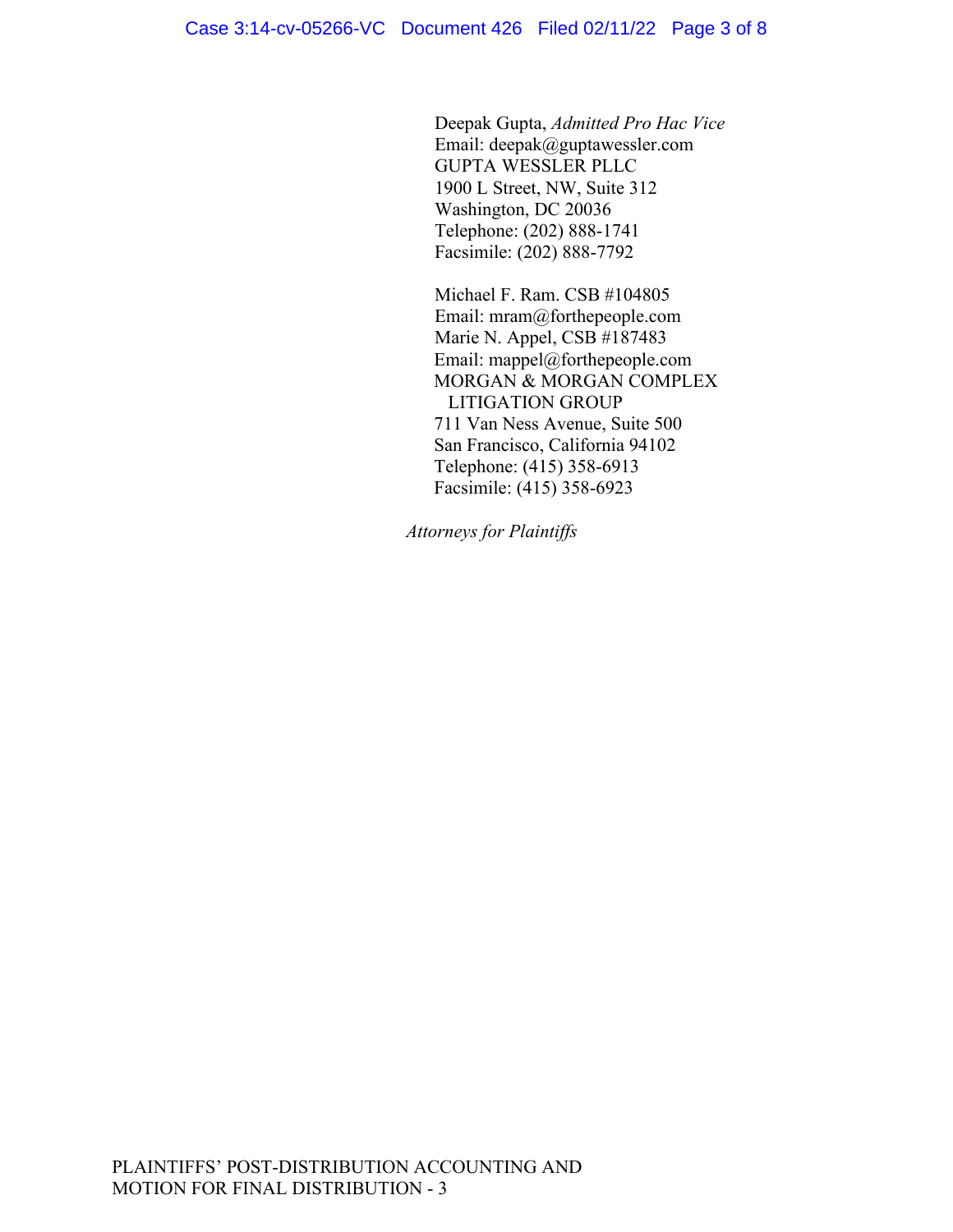Deepak Gupta, *Admitted Pro Hac Vice* Email: deepak@guptawessler.com GUPTA WESSLER PLLC 1900 L Street, NW, Suite 312 Washington, DC 20036 Telephone: (202) 888-1741 Facsimile: (202) 888-7792

Michael F. Ram. CSB #104805 Email: mram@forthepeople.com Marie N. Appel, CSB #187483 Email: mappel@forthepeople.com MORGAN & MORGAN COMPLEX LITIGATION GROUP 711 Van Ness Avenue, Suite 500 San Francisco, California 94102 Telephone: (415) 358-6913 Facsimile: (415) 358-6923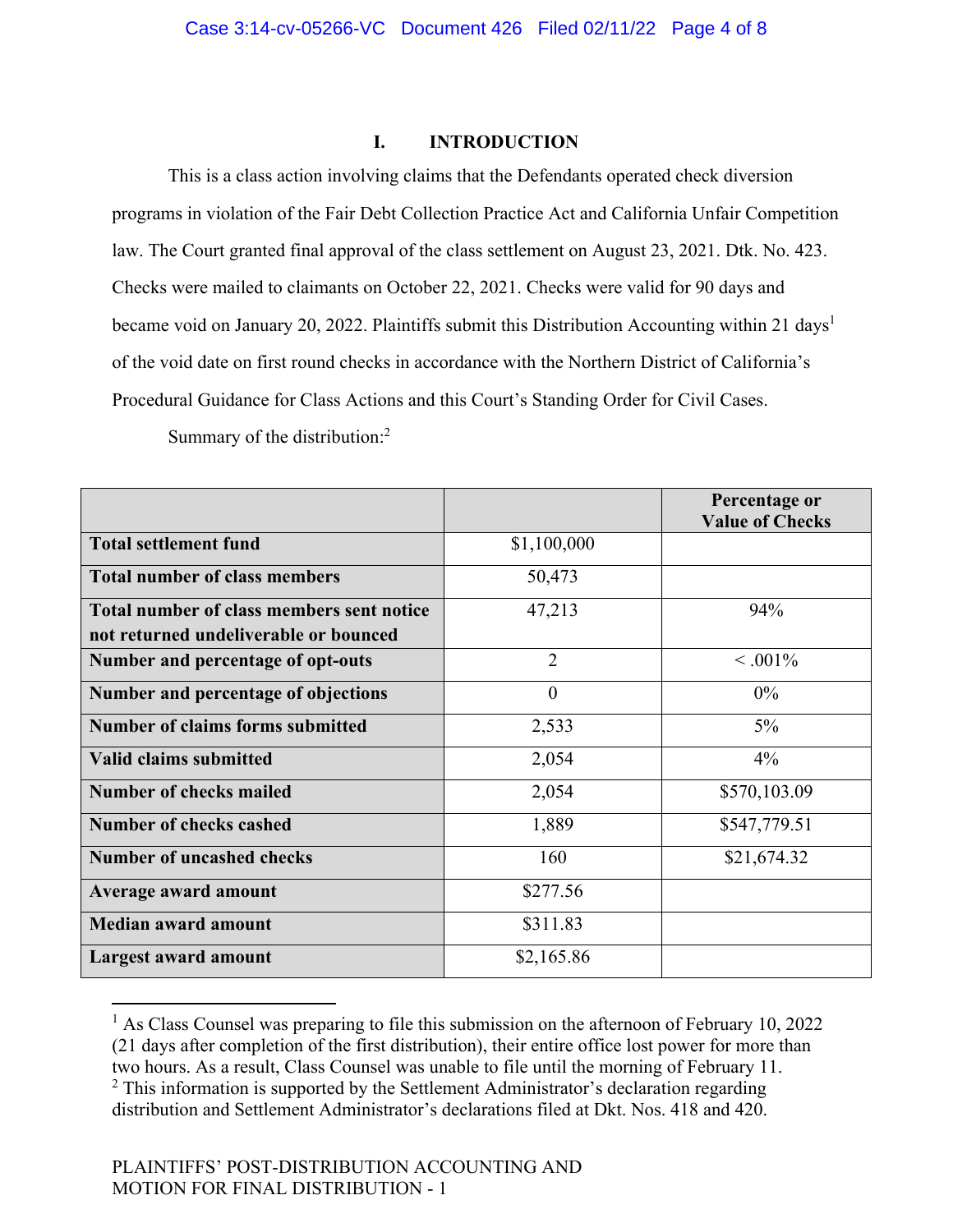#### **I. INTRODUCTION**

This is a class action involving claims that the Defendants operated check diversion programs in violation of the Fair Debt Collection Practice Act and California Unfair Competition law. The Court granted final approval of the class settlement on August 23, 2021. Dtk. No. 423. Checks were mailed to claimants on October 22, 2021. Checks were valid for 90 days and became void on January 20, 2022. Plaintiffs submit this Distribution Accounting within 21 days<sup>1</sup> of the void date on first round checks in accordance with the Northern District of California's Procedural Guidance for Class Actions and this Court's Standing Order for Civil Cases.

Summary of the distribution:<sup>2</sup>

|                                           |                | Percentage or<br><b>Value of Checks</b> |
|-------------------------------------------|----------------|-----------------------------------------|
| <b>Total settlement fund</b>              | \$1,100,000    |                                         |
| <b>Total number of class members</b>      | 50,473         |                                         |
| Total number of class members sent notice | 47,213         | 94%                                     |
| not returned undeliverable or bounced     |                |                                         |
| Number and percentage of opt-outs         | $\overline{2}$ | $< 0.001\%$                             |
| Number and percentage of objections       | $\overline{0}$ | $0\%$                                   |
| <b>Number of claims forms submitted</b>   | 2,533          | $5\%$                                   |
| Valid claims submitted                    | 2,054          | $4\%$                                   |
| Number of checks mailed                   | 2,054          | \$570,103.09                            |
| Number of checks cashed                   | 1,889          | \$547,779.51                            |
| Number of uncashed checks                 | 160            | \$21,674.32                             |
| Average award amount                      | \$277.56       |                                         |
| <b>Median award amount</b>                | \$311.83       |                                         |
| Largest award amount                      | \$2,165.86     |                                         |

<sup>&</sup>lt;sup>1</sup> As Class Counsel was preparing to file this submission on the afternoon of February 10, 2022 (21 days after completion of the first distribution), their entire office lost power for more than two hours. As a result, Class Counsel was unable to file until the morning of February 11.  $2$  This information is supported by the Settlement Administrator's declaration regarding distribution and Settlement Administrator's declarations filed at Dkt. Nos. 418 and 420.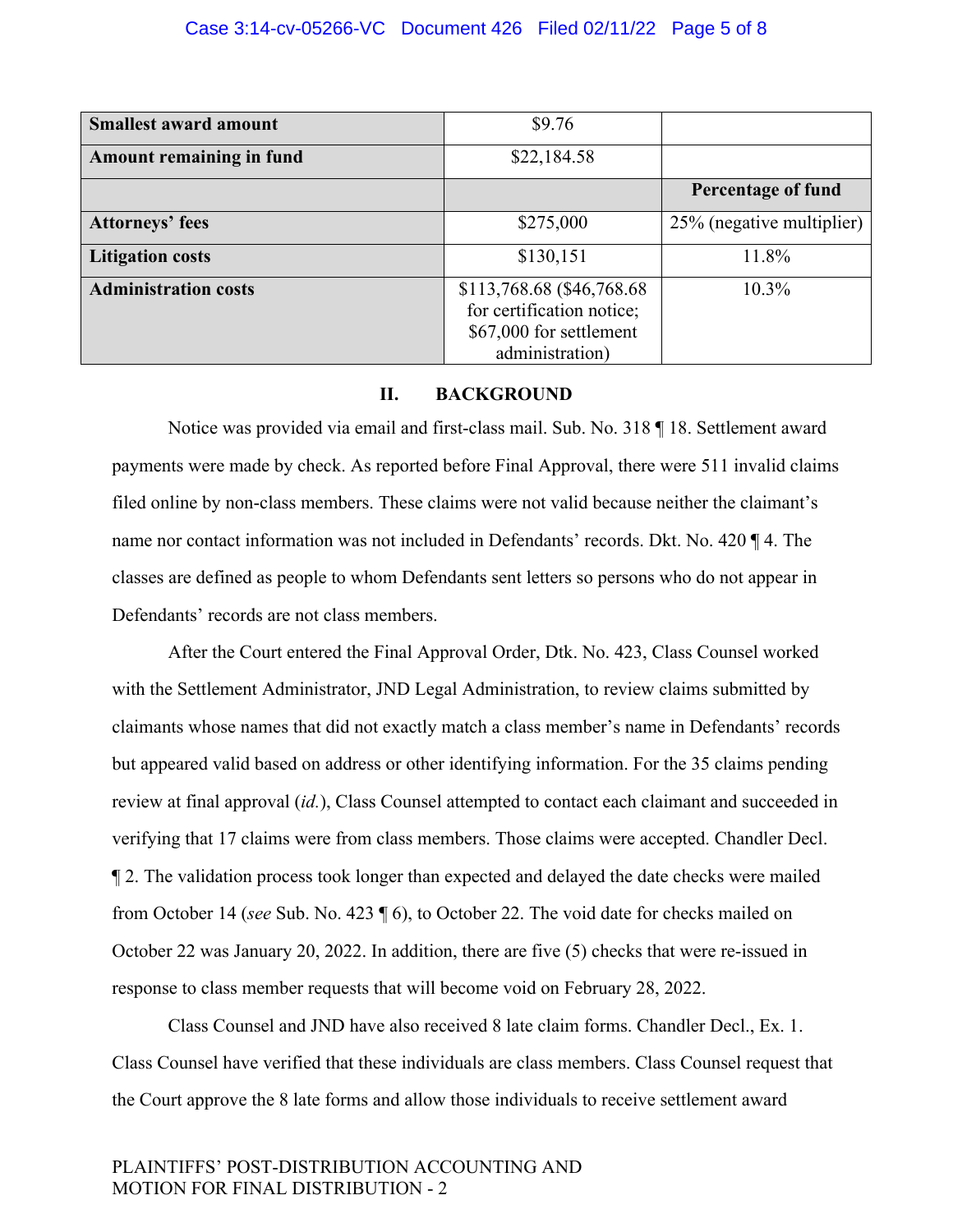| <b>Smallest award amount</b> | \$9.76                                                                                                |                           |
|------------------------------|-------------------------------------------------------------------------------------------------------|---------------------------|
| Amount remaining in fund     | \$22,184.58                                                                                           |                           |
|                              |                                                                                                       | Percentage of fund        |
| <b>Attorneys' fees</b>       | \$275,000                                                                                             | 25% (negative multiplier) |
| <b>Litigation costs</b>      | \$130,151                                                                                             | 11.8%                     |
| <b>Administration costs</b>  | \$113,768.68 (\$46,768.68)<br>for certification notice;<br>\$67,000 for settlement<br>administration) | $10.3\%$                  |

# **II. BACKGROUND**

Notice was provided via email and first-class mail. Sub. No. 318 ¶ 18. Settlement award payments were made by check. As reported before Final Approval, there were 511 invalid claims filed online by non-class members. These claims were not valid because neither the claimant's name nor contact information was not included in Defendants' records. Dkt. No. 420 ¶ 4. The classes are defined as people to whom Defendants sent letters so persons who do not appear in Defendants' records are not class members.

After the Court entered the Final Approval Order, Dtk. No. 423, Class Counsel worked with the Settlement Administrator, JND Legal Administration, to review claims submitted by claimants whose names that did not exactly match a class member's name in Defendants' records but appeared valid based on address or other identifying information. For the 35 claims pending review at final approval (*id.*), Class Counsel attempted to contact each claimant and succeeded in verifying that 17 claims were from class members. Those claims were accepted. Chandler Decl. ¶ 2. The validation process took longer than expected and delayed the date checks were mailed from October 14 (*see* Sub. No. 423 ¶ 6), to October 22. The void date for checks mailed on October 22 was January 20, 2022. In addition, there are five (5) checks that were re-issued in response to class member requests that will become void on February 28, 2022.

Class Counsel and JND have also received 8 late claim forms. Chandler Decl., Ex. 1. Class Counsel have verified that these individuals are class members. Class Counsel request that the Court approve the 8 late forms and allow those individuals to receive settlement award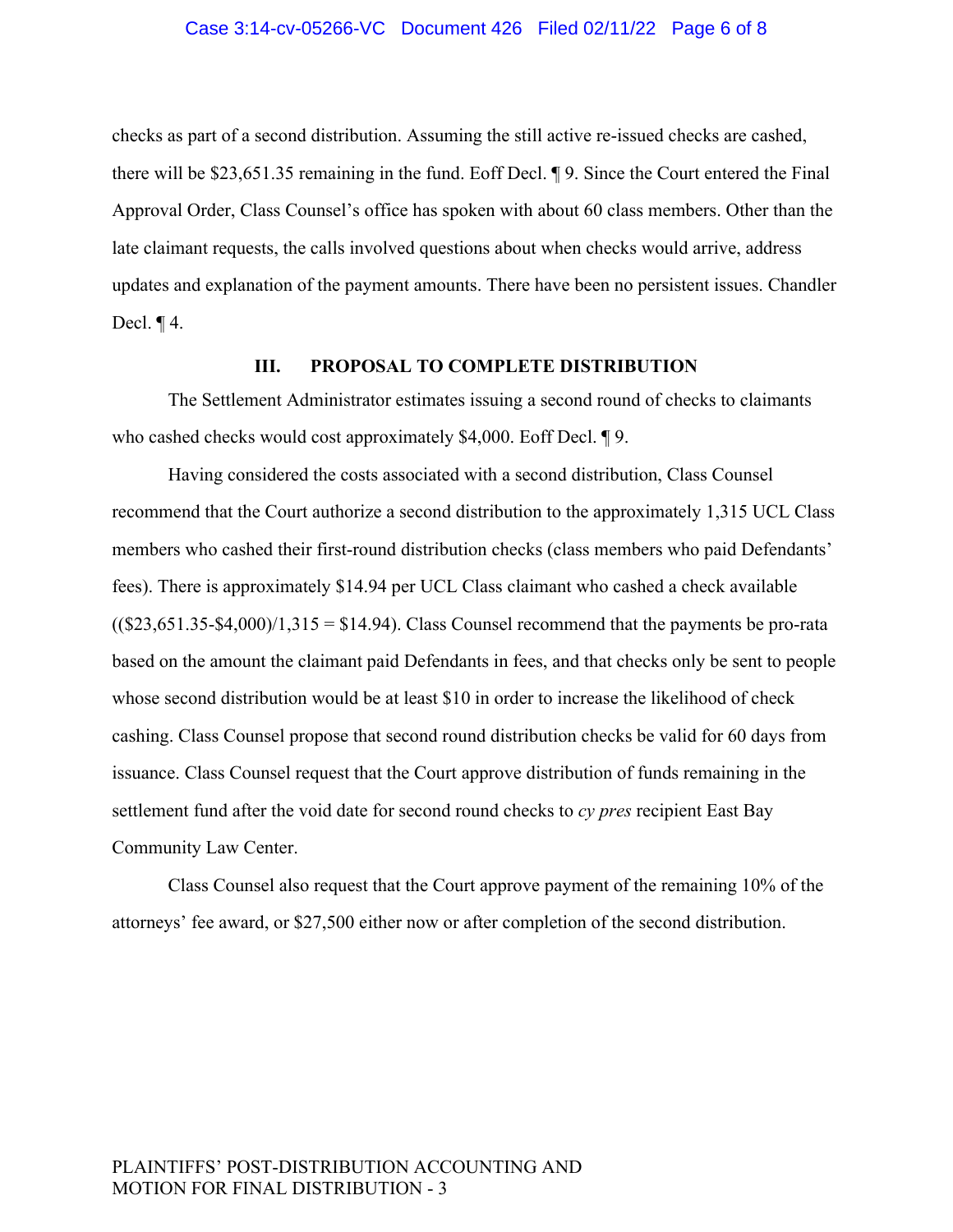#### Case 3:14-cv-05266-VC Document 426 Filed 02/11/22 Page 6 of 8

checks as part of a second distribution. Assuming the still active re-issued checks are cashed, there will be \$23,651.35 remaining in the fund. Eoff Decl. ¶ 9. Since the Court entered the Final Approval Order, Class Counsel's office has spoken with about 60 class members. Other than the late claimant requests, the calls involved questions about when checks would arrive, address updates and explanation of the payment amounts. There have been no persistent issues. Chandler Decl. ¶ 4.

#### **III. PROPOSAL TO COMPLETE DISTRIBUTION**

The Settlement Administrator estimates issuing a second round of checks to claimants who cashed checks would cost approximately \$4,000. Eoff Decl. ¶ 9.

Having considered the costs associated with a second distribution, Class Counsel recommend that the Court authorize a second distribution to the approximately 1,315 UCL Class members who cashed their first-round distribution checks (class members who paid Defendants' fees). There is approximately \$14.94 per UCL Class claimant who cashed a check available  $((\$23,651.35-\$4,000)/1,315=\$14.94)$ . Class Counsel recommend that the payments be pro-rata based on the amount the claimant paid Defendants in fees, and that checks only be sent to people whose second distribution would be at least \$10 in order to increase the likelihood of check cashing. Class Counsel propose that second round distribution checks be valid for 60 days from issuance. Class Counsel request that the Court approve distribution of funds remaining in the settlement fund after the void date for second round checks to *cy pres* recipient East Bay Community Law Center.

Class Counsel also request that the Court approve payment of the remaining 10% of the attorneys' fee award, or \$27,500 either now or after completion of the second distribution.

# PLAINTIFFS' POST-DISTRIBUTION ACCOUNTING AND MOTION FOR FINAL DISTRIBUTION - 3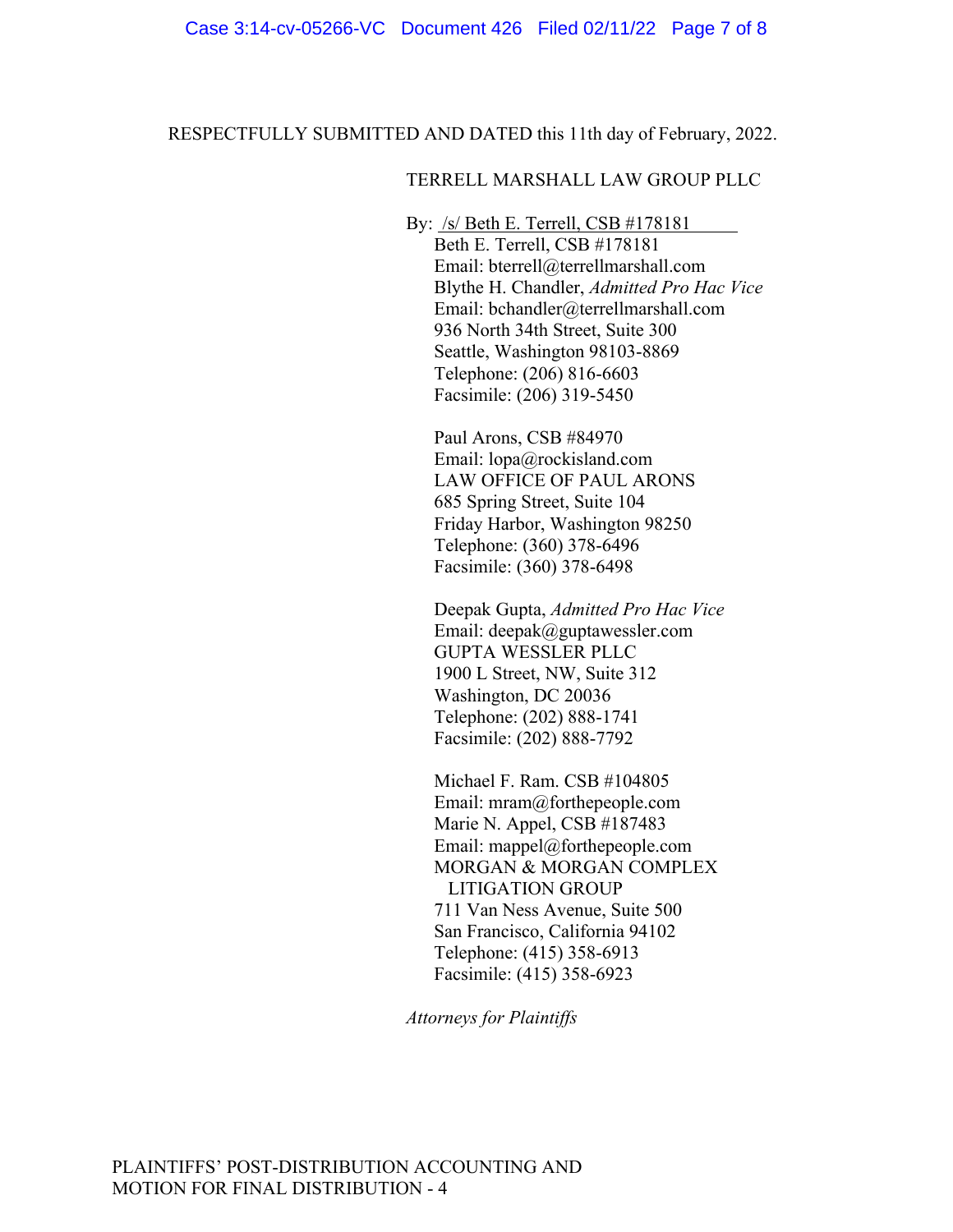RESPECTFULLY SUBMITTED AND DATED this 11th day of February, 2022.

#### TERRELL MARSHALL LAW GROUP PLLC

By: /s/ Beth E. Terrell, CSB #178181 Beth E. Terrell, CSB #178181 Email: bterrell@terrellmarshall.com Blythe H. Chandler, *Admitted Pro Hac Vice* Email: bchandler@terrellmarshall.com 936 North 34th Street, Suite 300 Seattle, Washington 98103-8869 Telephone: (206) 816-6603 Facsimile: (206) 319-5450

Paul Arons, CSB #84970 Email: lopa@rockisland.com LAW OFFICE OF PAUL ARONS 685 Spring Street, Suite 104 Friday Harbor, Washington 98250 Telephone: (360) 378-6496 Facsimile: (360) 378-6498

Deepak Gupta, *Admitted Pro Hac Vice* Email: deepak@guptawessler.com GUPTA WESSLER PLLC 1900 L Street, NW, Suite 312 Washington, DC 20036 Telephone: (202) 888-1741 Facsimile: (202) 888-7792

Michael F. Ram. CSB #104805 Email: mram@forthepeople.com Marie N. Appel, CSB #187483 Email: mappel@forthepeople.com MORGAN & MORGAN COMPLEX LITIGATION GROUP 711 Van Ness Avenue, Suite 500 San Francisco, California 94102 Telephone: (415) 358-6913 Facsimile: (415) 358-6923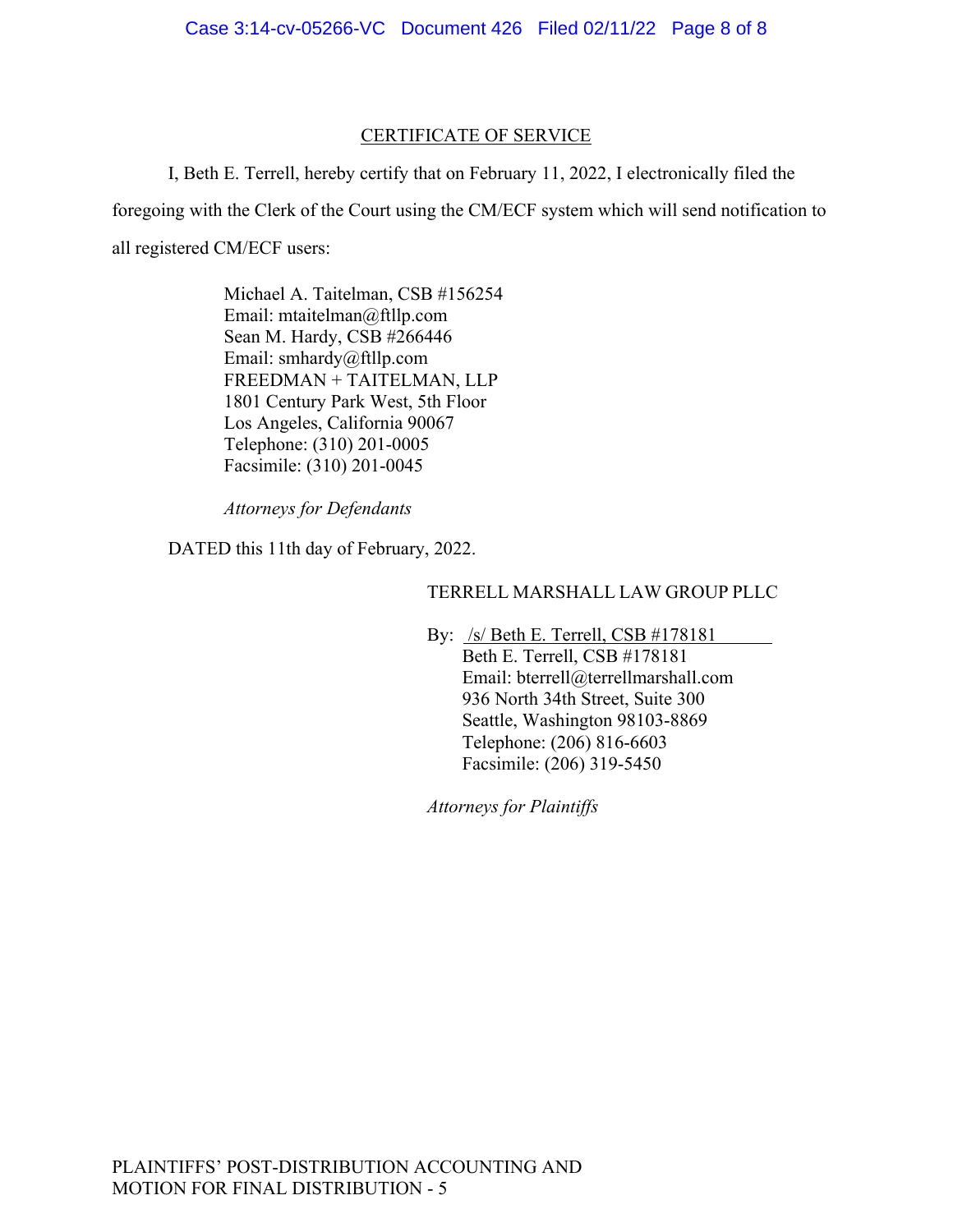# CERTIFICATE OF SERVICE

I, Beth E. Terrell, hereby certify that on February 11, 2022, I electronically filed the foregoing with the Clerk of the Court using the CM/ECF system which will send notification to all registered CM/ECF users:

> Michael A. Taitelman, CSB #156254 Email: mtaitelman@ftllp.com Sean M. Hardy, CSB #266446 Email: smhardy@ftllp.com FREEDMAN + TAITELMAN, LLP 1801 Century Park West, 5th Floor Los Angeles, California 90067 Telephone: (310) 201-0005 Facsimile: (310) 201-0045

*Attorneys for Defendants*

DATED this 11th day of February, 2022.

# TERRELL MARSHALL LAW GROUP PLLC

By: /s/ Beth E. Terrell, CSB #178181

Beth E. Terrell, CSB #178181 Email: bterrell@terrellmarshall.com 936 North 34th Street, Suite 300 Seattle, Washington 98103-8869 Telephone: (206) 816-6603 Facsimile: (206) 319-5450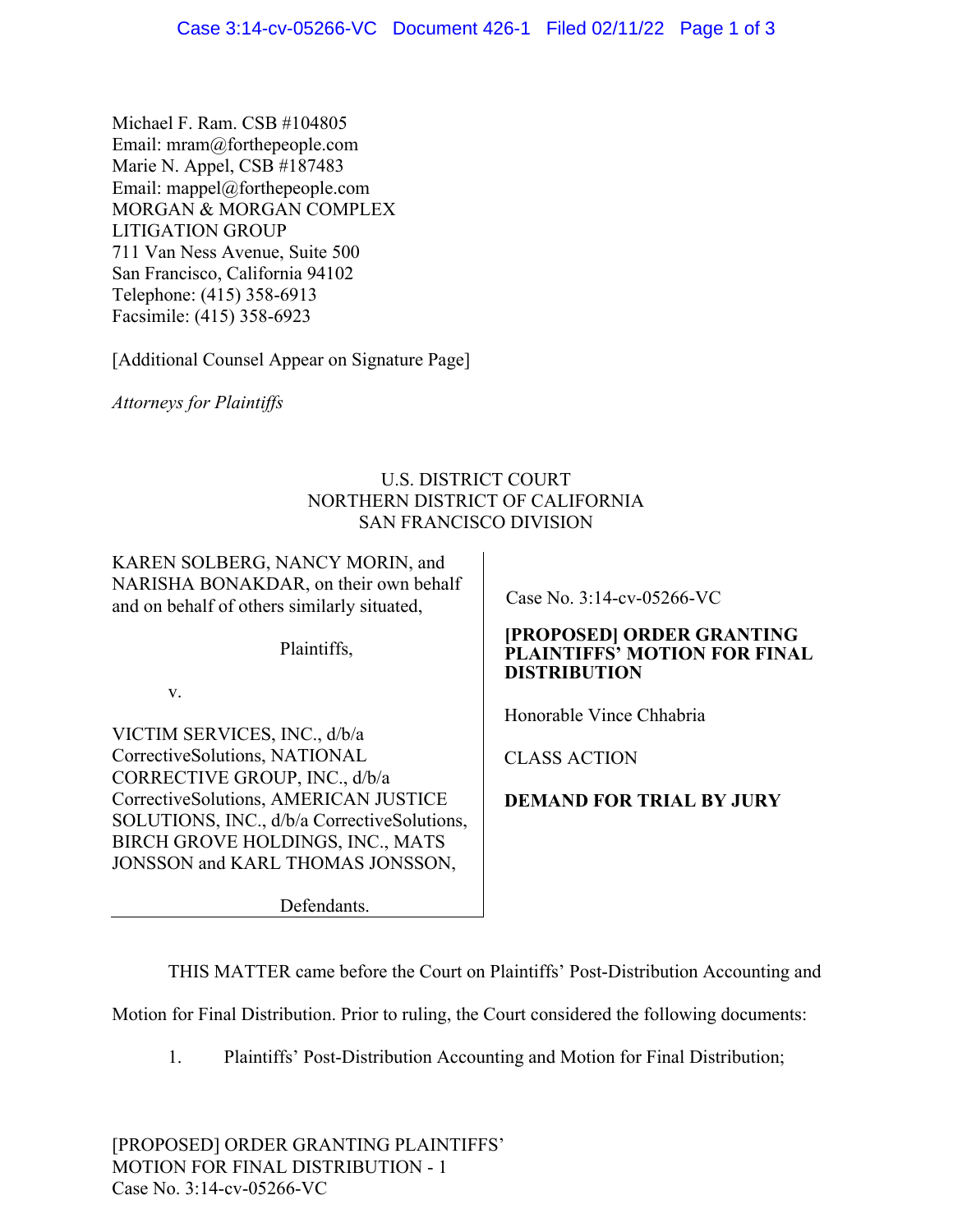Michael F. Ram. CSB #104805 Email: mram@forthepeople.com Marie N. Appel, CSB #187483 Email: mappel@forthepeople.com MORGAN & MORGAN COMPLEX LITIGATION GROUP 711 Van Ness Avenue, Suite 500 San Francisco, California 94102 Telephone: (415) 358-6913 Facsimile: (415) 358-6923

[Additional Counsel Appear on Signature Page]

*Attorneys for Plaintiffs* 

# U.S. DISTRICT COURT NORTHERN DISTRICT OF CALIFORNIA SAN FRANCISCO DIVISION

KAREN SOLBERG, NANCY MORIN, and NARISHA BONAKDAR, on their own behalf and on behalf of others similarly situated,

Plaintiffs,

v.

VICTIM SERVICES, INC., d/b/a CorrectiveSolutions, NATIONAL CORRECTIVE GROUP, INC., d/b/a CorrectiveSolutions, AMERICAN JUSTICE SOLUTIONS, INC., d/b/a CorrectiveSolutions, BIRCH GROVE HOLDINGS, INC., MATS JONSSON and KARL THOMAS JONSSON,

Defendants.

Case No. 3:14-cv-05266-VC

# **[PROPOSED] ORDER GRANTING PLAINTIFFS' MOTION FOR FINAL DISTRIBUTION**

Honorable Vince Chhabria

CLASS ACTION

**DEMAND FOR TRIAL BY JURY**

THIS MATTER came before the Court on Plaintiffs' Post-Distribution Accounting and

Motion for Final Distribution. Prior to ruling, the Court considered the following documents:

1. Plaintiffs' Post-Distribution Accounting and Motion for Final Distribution;

[PROPOSED] ORDER GRANTING PLAINTIFFS' MOTION FOR FINAL DISTRIBUTION - 1 Case No. 3:14-cv-05266-VC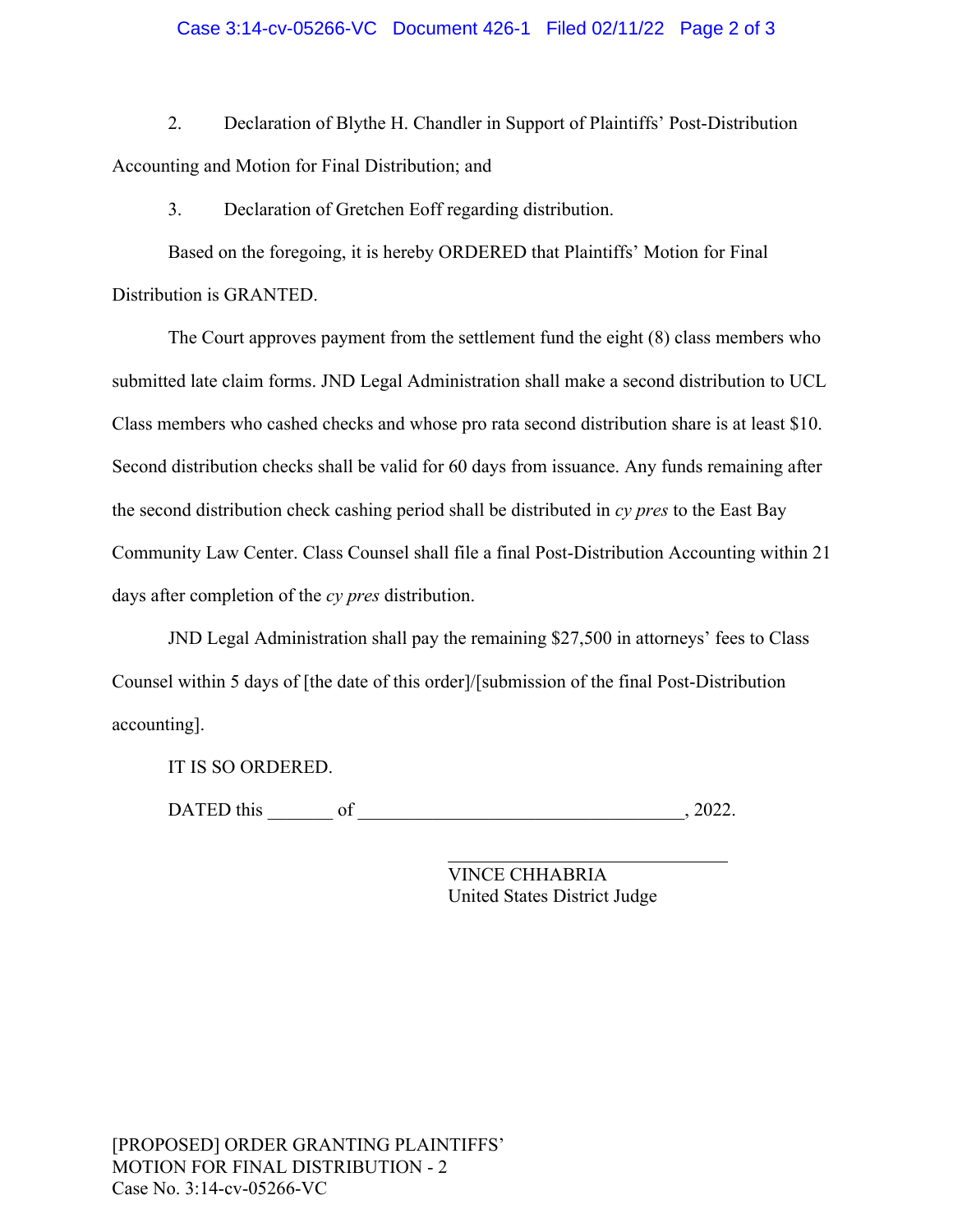#### Case 3:14-cv-05266-VC Document 426-1 Filed 02/11/22 Page 2 of 3

2. Declaration of Blythe H. Chandler in Support of Plaintiffs' Post-Distribution Accounting and Motion for Final Distribution; and

3. Declaration of Gretchen Eoff regarding distribution.

Based on the foregoing, it is hereby ORDERED that Plaintiffs' Motion for Final Distribution is GRANTED.

The Court approves payment from the settlement fund the eight (8) class members who submitted late claim forms. JND Legal Administration shall make a second distribution to UCL Class members who cashed checks and whose pro rata second distribution share is at least \$10. Second distribution checks shall be valid for 60 days from issuance. Any funds remaining after the second distribution check cashing period shall be distributed in *cy pres* to the East Bay Community Law Center. Class Counsel shall file a final Post-Distribution Accounting within 21 days after completion of the *cy pres* distribution.

JND Legal Administration shall pay the remaining \$27,500 in attorneys' fees to Class Counsel within 5 days of [the date of this order]/[submission of the final Post-Distribution accounting].

IT IS SO ORDERED.

DATED this \_\_\_\_\_\_\_ of \_\_\_\_\_\_\_\_\_\_\_\_\_\_\_\_\_\_\_\_\_\_\_\_\_\_\_\_\_\_\_\_\_\_\_, 2022.

 $\overline{a}$ 

VINCE CHHABRIA United States District Judge